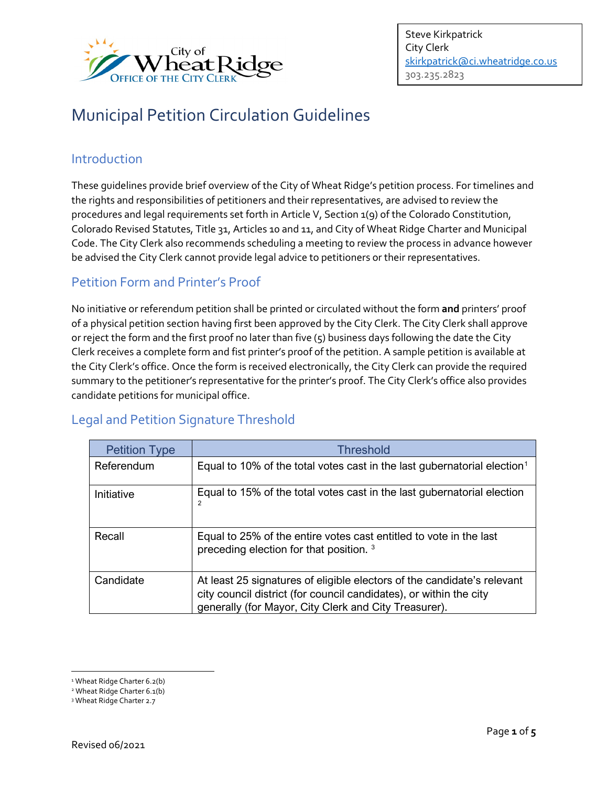

# Municipal Petition Circulation Guidelines

#### Introduction

These guidelines provide brief overview of the City of Wheat Ridge's petition process. For timelines and the rights and responsibilities of petitioners and their representatives, are advised to review the procedures and legal requirements set forth in Article V, Section 1(9) of the Colorado Constitution, Colorado Revised Statutes, Title 31, Articles 10 and 11, and City of Wheat Ridge Charter and Municipal Code. The City Clerk also recommends scheduling a meeting to review the process in advance however be advised the City Clerk cannot provide legal advice to petitioners or their representatives.

#### Petition Form and Printer's Proof

No initiative or referendum petition shall be printed or circulated without the form **and** printers' proof of a physical petition section having first been approved by the City Clerk. The City Clerk shall approve or reject the form and the first proof no later than five (5) business days following the date the City Clerk receives a complete form and fist printer's proof of the petition. A sample petition is available at the City Clerk's office. Once the form is received electronically, the City Clerk can provide the required summary to the petitioner's representative for the printer's proof. The City Clerk's office also provides candidate petitions for municipal office.

### Legal and Petition Signature Threshold

| <b>Petition Type</b> | <b>Threshold</b>                                                                                                                                                                                       |  |
|----------------------|--------------------------------------------------------------------------------------------------------------------------------------------------------------------------------------------------------|--|
| Referendum           | Equal to 10% of the total votes cast in the last gubernatorial election <sup>1</sup>                                                                                                                   |  |
| Initiative           | Equal to 15% of the total votes cast in the last gubernatorial election<br>2                                                                                                                           |  |
| Recall               | Equal to 25% of the entire votes cast entitled to vote in the last<br>preceding election for that position. <sup>3</sup>                                                                               |  |
| Candidate            | At least 25 signatures of eligible electors of the candidate's relevant<br>city council district (for council candidates), or within the city<br>generally (for Mayor, City Clerk and City Treasurer). |  |

<span id="page-0-0"></span><sup>&</sup>lt;sup>1</sup> Wheat Ridge Charter 6.2(b)

<span id="page-0-2"></span><span id="page-0-1"></span><sup>2</sup> Wheat Ridge Charter 6.1(b)

<sup>&</sup>lt;sup>3</sup> Wheat Ridge Charter 2.7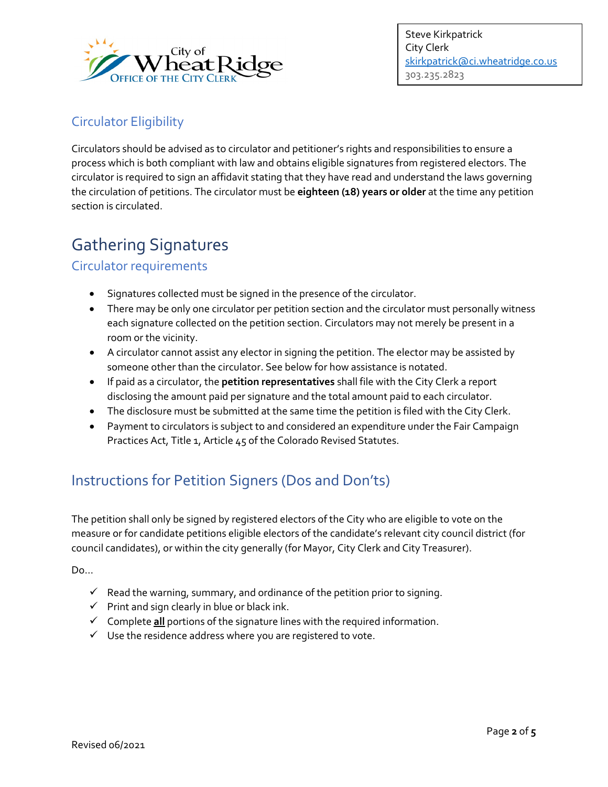

### Circulator Eligibility

Circulators should be advised as to circulator and petitioner's rights and responsibilities to ensure a process which is both compliant with law and obtains eligible signatures from registered electors. The circulator is required to sign an affidavit stating that they have read and understand the laws governing the circulation of petitions. The circulator must be **eighteen (18) years or older** at the time any petition section is circulated.

# Gathering Signatures

#### Circulator requirements

- Signatures collected must be signed in the presence of the circulator.
- There may be only one circulator per petition section and the circulator must personally witness each signature collected on the petition section. Circulators may not merely be present in a room or the vicinity.
- A circulator cannot assist any elector in signing the petition. The elector may be assisted by someone other than the circulator. See below for how assistance is notated.
- If paid as a circulator, the **petition representatives** shall file with the City Clerk a report disclosing the amount paid per signature and the total amount paid to each circulator.
- The disclosure must be submitted at the same time the petition is filed with the City Clerk.
- Payment to circulators is subject to and considered an expenditure under the Fair Campaign Practices Act, Title 1, Article 45 of the Colorado Revised Statutes.

## Instructions for Petition Signers (Dos and Don'ts)

The petition shall only be signed by registered electors of the City who are eligible to vote on the measure or for candidate petitions eligible electors of the candidate's relevant city council district (for council candidates), or within the city generally (for Mayor, City Clerk and City Treasurer).

Do…

- $\checkmark$  Read the warning, summary, and ordinance of the petition prior to signing.
- $\checkmark$  Print and sign clearly in blue or black ink.
- $\checkmark$  Complete **all** portions of the signature lines with the required information.
- $\checkmark$  Use the residence address where you are registered to vote.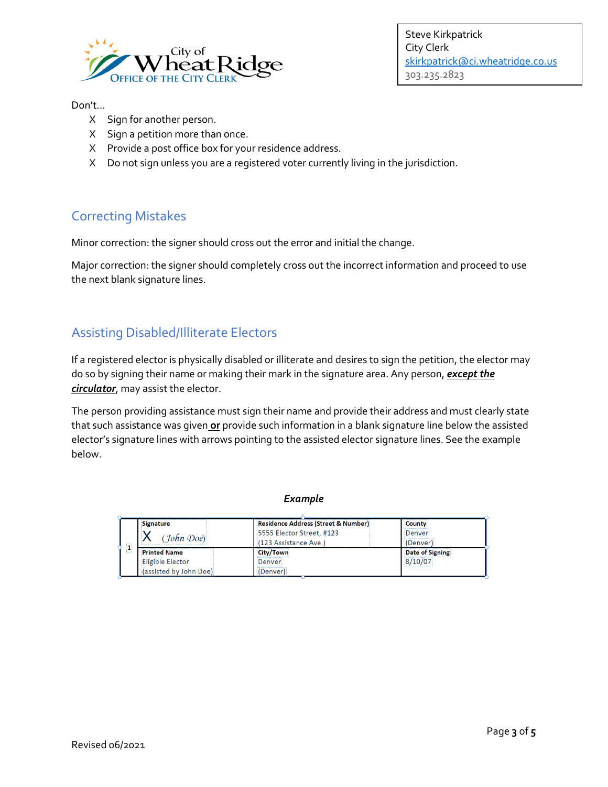

#### Don't…

- X Sign for another person.
- X Sign a petition more than once.
- X Provide a post office box for your residence address.
- X Do not sign unless you are a registered voter currently living in the jurisdiction.

#### Correcting Mistakes

Minor correction: the signer should cross out the error and initial the change.

Major correction: the signer should completely cross out the incorrect information and proceed to use the next blank signature lines.

#### Assisting Disabled/Illiterate Electors

If a registered elector is physically disabled or illiterate and desires to sign the petition, the elector may do so by signing their name or making their mark in the signature area. Any person, *except the circulator*, may assist the elector.

The person providing assistance must sign their name and provide their address and must clearly state that such assistance was given **or** provide such information in a blank signature line below the assisted elector's signature lines with arrows pointing to the assisted elector signature lines. See the example below.

#### *Example*

| 1<br>3. | Signature               | Residence Address (Street & Number) | County          |
|---------|-------------------------|-------------------------------------|-----------------|
|         |                         | 5555 Elector Street, #123           | iDenveri        |
|         | (John Doe)              | (123 Assistance Ave.)               | (Denver)        |
|         | <b>Printed Name</b>     | City/Town                           | Date of Signing |
|         | <b>Eligible Elector</b> | Denver                              | 8/10/07         |
|         | (assisted by John Doe)  | (Denver)                            |                 |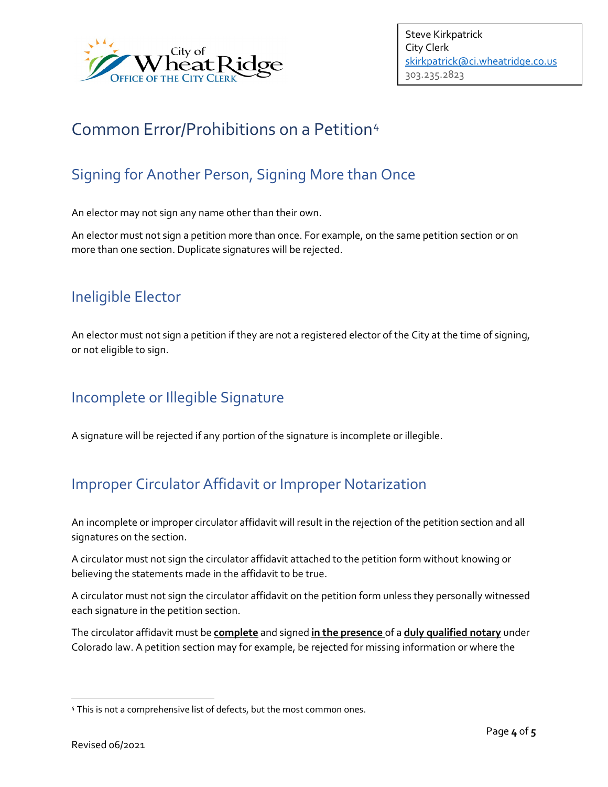

# Common Error/Prohibitions on a Petition[4](#page-3-0)

### Signing for Another Person, Signing More than Once

An elector may not sign any name other than their own.

An elector must not sign a petition more than once. For example, on the same petition section or on more than one section. Duplicate signatures will be rejected.

### Ineligible Elector

An elector must not sign a petition if they are not a registered elector of the City at the time of signing, or not eligible to sign.

## Incomplete or Illegible Signature

A signature will be rejected if any portion of the signature is incomplete or illegible.

## Improper Circulator Affidavit or Improper Notarization

An incomplete or improper circulator affidavit will result in the rejection of the petition section and all signatures on the section.

A circulator must not sign the circulator affidavit attached to the petition form without knowing or believing the statements made in the affidavit to be true.

A circulator must not sign the circulator affidavit on the petition form unless they personally witnessed each signature in the petition section.

The circulator affidavit must be **complete** and signed **in the presence** of a **duly qualified notary** under Colorado law. A petition section may for example, be rejected for missing information or where the

<span id="page-3-0"></span><sup>4</sup> This is not a comprehensive list of defects, but the most common ones.